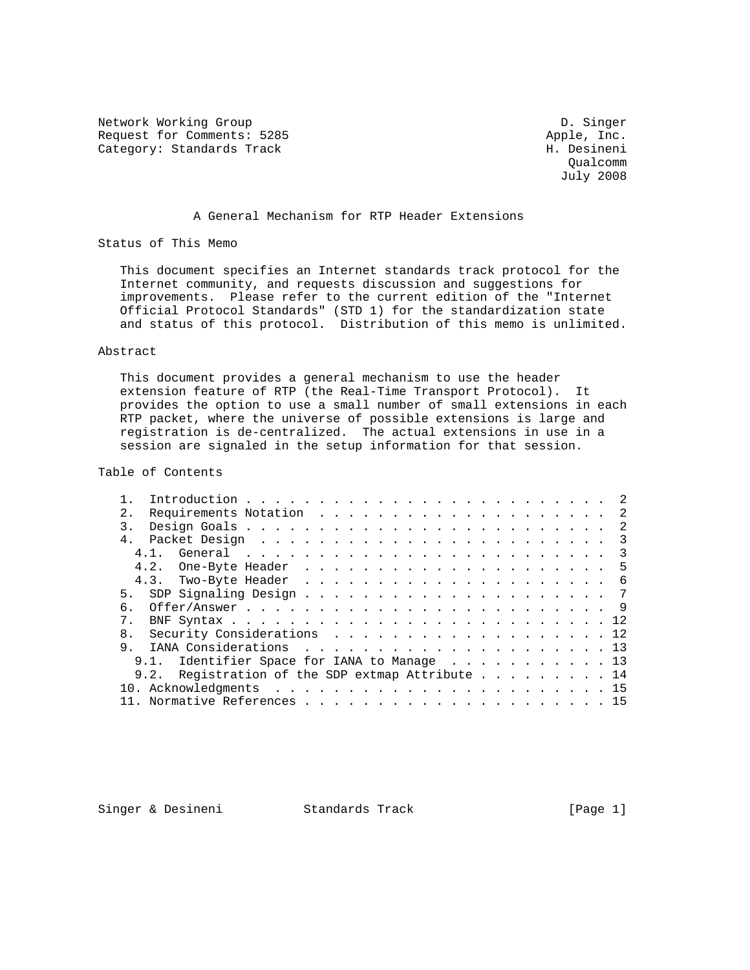Network Working Group Description of the U.S. Singer D. Singer Request for Comments: 5285 Apple, Inc.<br>
Category: Standards Track And American Messineni Category: Standards Track

 Qualcomm July 2008

### A General Mechanism for RTP Header Extensions

Status of This Memo

 This document specifies an Internet standards track protocol for the Internet community, and requests discussion and suggestions for improvements. Please refer to the current edition of the "Internet Official Protocol Standards" (STD 1) for the standardization state and status of this protocol. Distribution of this memo is unlimited.

### Abstract

 This document provides a general mechanism to use the header extension feature of RTP (the Real-Time Transport Protocol). It provides the option to use a small number of small extensions in each RTP packet, where the universe of possible extensions is large and registration is de-centralized. The actual extensions in use in a session are signaled in the setup information for that session.

## Table of Contents

| 2.            |      |                                                  |  |  |  |  |  |  |  |  |  |  |  |  |
|---------------|------|--------------------------------------------------|--|--|--|--|--|--|--|--|--|--|--|--|
| $\mathcal{R}$ |      |                                                  |  |  |  |  |  |  |  |  |  |  |  |  |
|               |      |                                                  |  |  |  |  |  |  |  |  |  |  |  |  |
|               | 4.1. |                                                  |  |  |  |  |  |  |  |  |  |  |  |  |
|               |      |                                                  |  |  |  |  |  |  |  |  |  |  |  |  |
|               |      |                                                  |  |  |  |  |  |  |  |  |  |  |  |  |
|               |      |                                                  |  |  |  |  |  |  |  |  |  |  |  |  |
| რ.            |      |                                                  |  |  |  |  |  |  |  |  |  |  |  |  |
| $7^{\circ}$   |      |                                                  |  |  |  |  |  |  |  |  |  |  |  |  |
|               |      | 8. Security Considerations 12                    |  |  |  |  |  |  |  |  |  |  |  |  |
| 9             |      |                                                  |  |  |  |  |  |  |  |  |  |  |  |  |
|               |      | 9.1. Identifier Space for IANA to Manage 13      |  |  |  |  |  |  |  |  |  |  |  |  |
|               |      | 9.2. Registration of the SDP extmap Attribute 14 |  |  |  |  |  |  |  |  |  |  |  |  |
|               |      |                                                  |  |  |  |  |  |  |  |  |  |  |  |  |
|               |      |                                                  |  |  |  |  |  |  |  |  |  |  |  |  |

Singer & Desineni Standards Track [Page 1]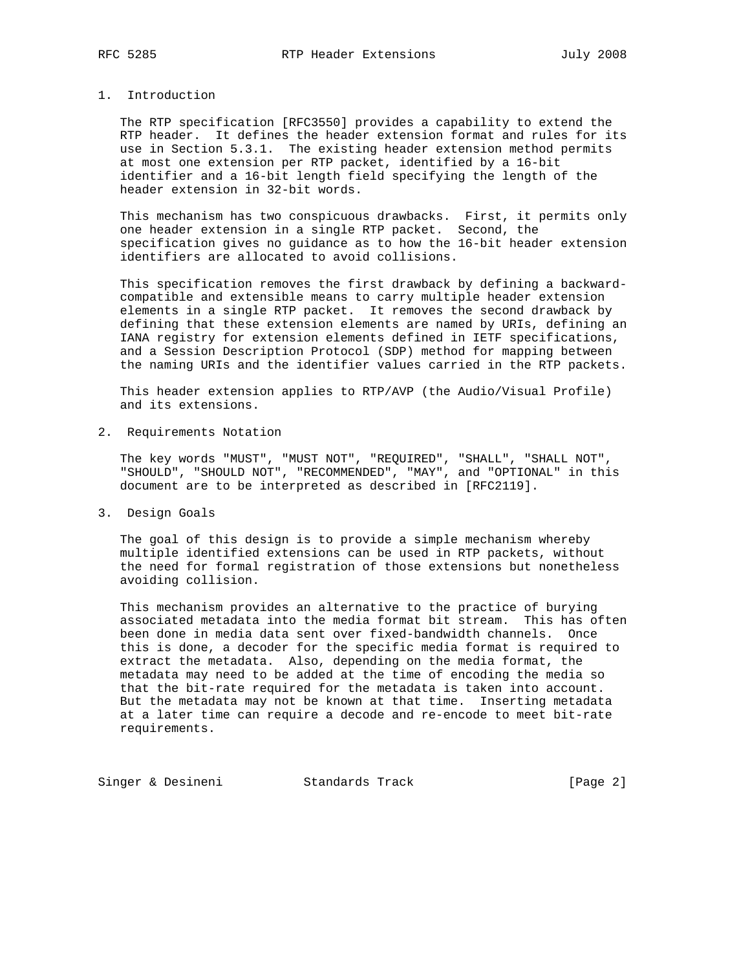# 1. Introduction

 The RTP specification [RFC3550] provides a capability to extend the RTP header. It defines the header extension format and rules for its use in Section 5.3.1. The existing header extension method permits at most one extension per RTP packet, identified by a 16-bit identifier and a 16-bit length field specifying the length of the header extension in 32-bit words.

 This mechanism has two conspicuous drawbacks. First, it permits only one header extension in a single RTP packet. Second, the specification gives no guidance as to how the 16-bit header extension identifiers are allocated to avoid collisions.

 This specification removes the first drawback by defining a backward compatible and extensible means to carry multiple header extension elements in a single RTP packet. It removes the second drawback by defining that these extension elements are named by URIs, defining an IANA registry for extension elements defined in IETF specifications, and a Session Description Protocol (SDP) method for mapping between the naming URIs and the identifier values carried in the RTP packets.

 This header extension applies to RTP/AVP (the Audio/Visual Profile) and its extensions.

2. Requirements Notation

 The key words "MUST", "MUST NOT", "REQUIRED", "SHALL", "SHALL NOT", "SHOULD", "SHOULD NOT", "RECOMMENDED", "MAY", and "OPTIONAL" in this document are to be interpreted as described in [RFC2119].

3. Design Goals

 The goal of this design is to provide a simple mechanism whereby multiple identified extensions can be used in RTP packets, without the need for formal registration of those extensions but nonetheless avoiding collision.

 This mechanism provides an alternative to the practice of burying associated metadata into the media format bit stream. This has often been done in media data sent over fixed-bandwidth channels. Once this is done, a decoder for the specific media format is required to extract the metadata. Also, depending on the media format, the metadata may need to be added at the time of encoding the media so that the bit-rate required for the metadata is taken into account. But the metadata may not be known at that time. Inserting metadata at a later time can require a decode and re-encode to meet bit-rate requirements.

Singer & Desineni Standards Track [Page 2]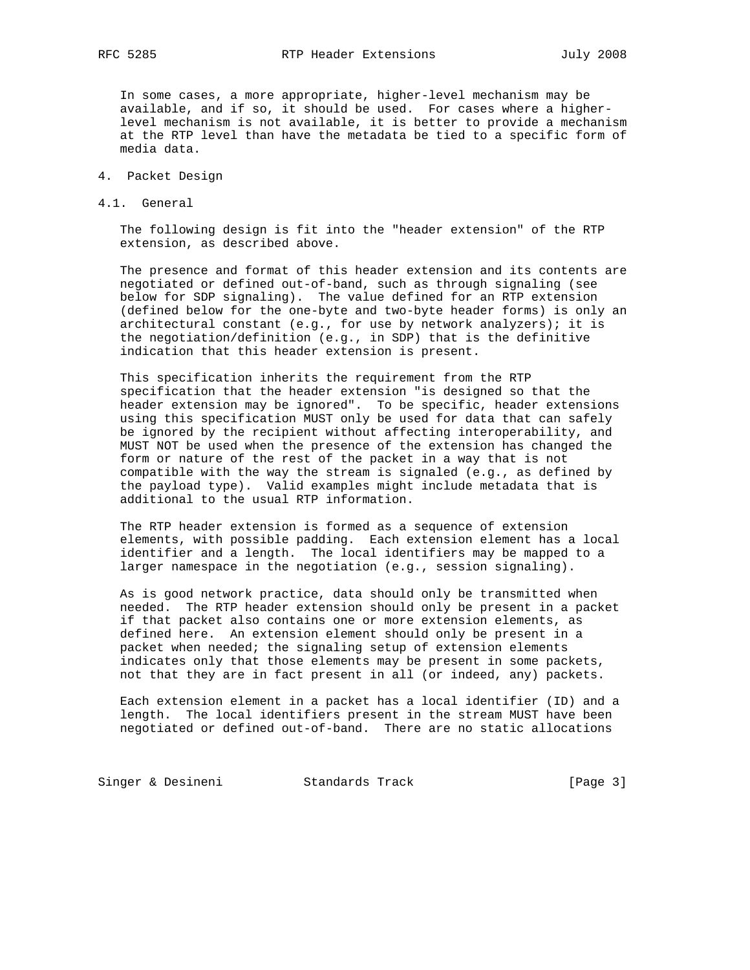In some cases, a more appropriate, higher-level mechanism may be available, and if so, it should be used. For cases where a higher level mechanism is not available, it is better to provide a mechanism at the RTP level than have the metadata be tied to a specific form of media data.

- 4. Packet Design
- 4.1. General

 The following design is fit into the "header extension" of the RTP extension, as described above.

 The presence and format of this header extension and its contents are negotiated or defined out-of-band, such as through signaling (see below for SDP signaling). The value defined for an RTP extension (defined below for the one-byte and two-byte header forms) is only an architectural constant (e.g., for use by network analyzers); it is the negotiation/definition (e.g., in SDP) that is the definitive indication that this header extension is present.

 This specification inherits the requirement from the RTP specification that the header extension "is designed so that the header extension may be ignored". To be specific, header extensions using this specification MUST only be used for data that can safely be ignored by the recipient without affecting interoperability, and MUST NOT be used when the presence of the extension has changed the form or nature of the rest of the packet in a way that is not compatible with the way the stream is signaled (e.g., as defined by the payload type). Valid examples might include metadata that is additional to the usual RTP information.

 The RTP header extension is formed as a sequence of extension elements, with possible padding. Each extension element has a local identifier and a length. The local identifiers may be mapped to a larger namespace in the negotiation (e.g., session signaling).

 As is good network practice, data should only be transmitted when needed. The RTP header extension should only be present in a packet if that packet also contains one or more extension elements, as defined here. An extension element should only be present in a packet when needed; the signaling setup of extension elements indicates only that those elements may be present in some packets, not that they are in fact present in all (or indeed, any) packets.

 Each extension element in a packet has a local identifier (ID) and a length. The local identifiers present in the stream MUST have been negotiated or defined out-of-band. There are no static allocations

Singer & Desineni Standards Track (Page 3)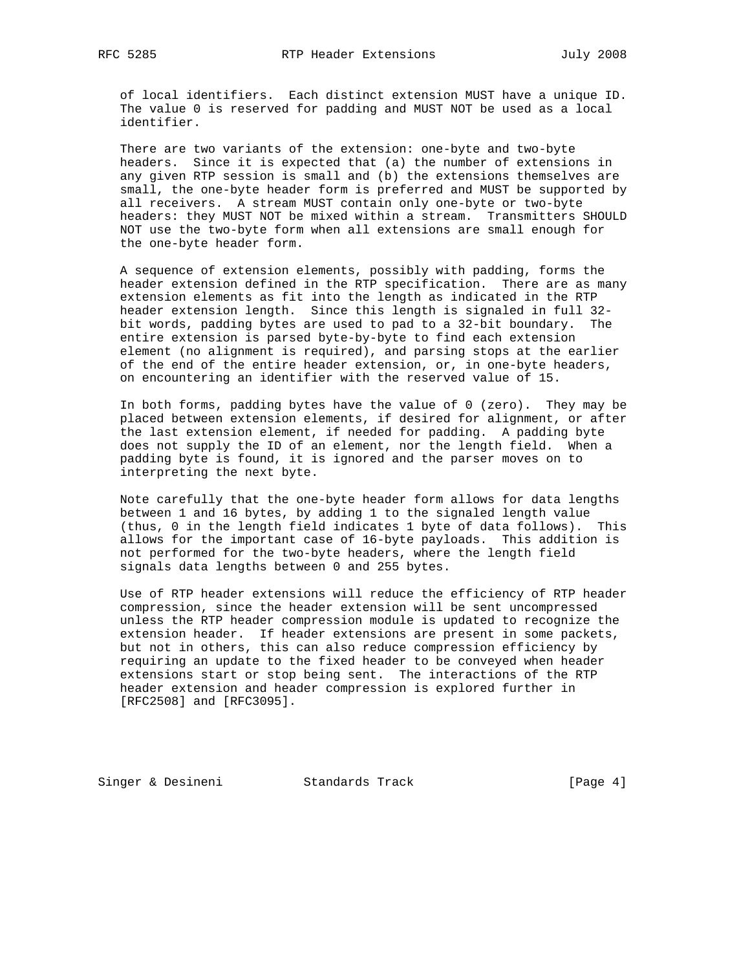of local identifiers. Each distinct extension MUST have a unique ID. The value 0 is reserved for padding and MUST NOT be used as a local identifier.

 There are two variants of the extension: one-byte and two-byte headers. Since it is expected that (a) the number of extensions in any given RTP session is small and (b) the extensions themselves are small, the one-byte header form is preferred and MUST be supported by all receivers. A stream MUST contain only one-byte or two-byte headers: they MUST NOT be mixed within a stream. Transmitters SHOULD NOT use the two-byte form when all extensions are small enough for the one-byte header form.

 A sequence of extension elements, possibly with padding, forms the header extension defined in the RTP specification. There are as many extension elements as fit into the length as indicated in the RTP header extension length. Since this length is signaled in full 32 bit words, padding bytes are used to pad to a 32-bit boundary. The entire extension is parsed byte-by-byte to find each extension element (no alignment is required), and parsing stops at the earlier of the end of the entire header extension, or, in one-byte headers, on encountering an identifier with the reserved value of 15.

 In both forms, padding bytes have the value of 0 (zero). They may be placed between extension elements, if desired for alignment, or after the last extension element, if needed for padding. A padding byte does not supply the ID of an element, nor the length field. When a padding byte is found, it is ignored and the parser moves on to interpreting the next byte.

 Note carefully that the one-byte header form allows for data lengths between 1 and 16 bytes, by adding 1 to the signaled length value (thus, 0 in the length field indicates 1 byte of data follows). This allows for the important case of 16-byte payloads. This addition is not performed for the two-byte headers, where the length field signals data lengths between 0 and 255 bytes.

 Use of RTP header extensions will reduce the efficiency of RTP header compression, since the header extension will be sent uncompressed unless the RTP header compression module is updated to recognize the extension header. If header extensions are present in some packets, but not in others, this can also reduce compression efficiency by requiring an update to the fixed header to be conveyed when header extensions start or stop being sent. The interactions of the RTP header extension and header compression is explored further in [RFC2508] and [RFC3095].

Singer & Desineni Standards Track [Page 4]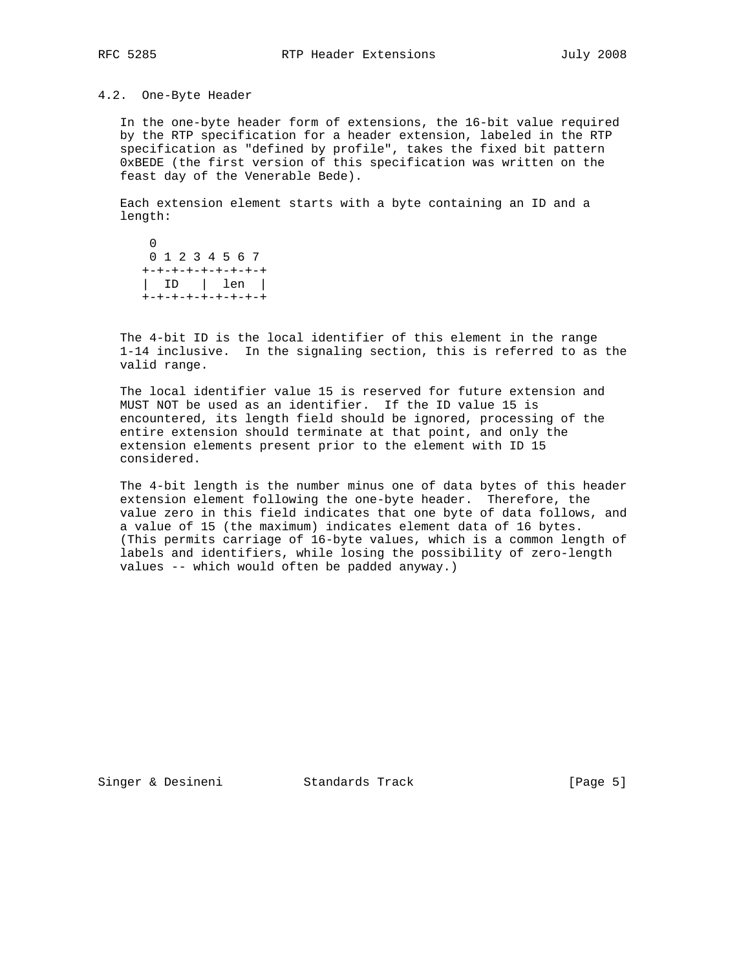#### 4.2. One-Byte Header

 In the one-byte header form of extensions, the 16-bit value required by the RTP specification for a header extension, labeled in the RTP specification as "defined by profile", takes the fixed bit pattern 0xBEDE (the first version of this specification was written on the feast day of the Venerable Bede).

 Each extension element starts with a byte containing an ID and a length:

 $\overline{0}$  0 1 2 3 4 5 6 7 +-+-+-+-+-+-+-+-+ | ID | len | +-+-+-+-+-+-+-+-+

 The 4-bit ID is the local identifier of this element in the range 1-14 inclusive. In the signaling section, this is referred to as the valid range.

 The local identifier value 15 is reserved for future extension and MUST NOT be used as an identifier. If the ID value 15 is encountered, its length field should be ignored, processing of the entire extension should terminate at that point, and only the extension elements present prior to the element with ID 15 considered.

 The 4-bit length is the number minus one of data bytes of this header extension element following the one-byte header. Therefore, the value zero in this field indicates that one byte of data follows, and a value of 15 (the maximum) indicates element data of 16 bytes. (This permits carriage of 16-byte values, which is a common length of labels and identifiers, while losing the possibility of zero-length values -- which would often be padded anyway.)

Singer & Desineni Standards Track [Page 5]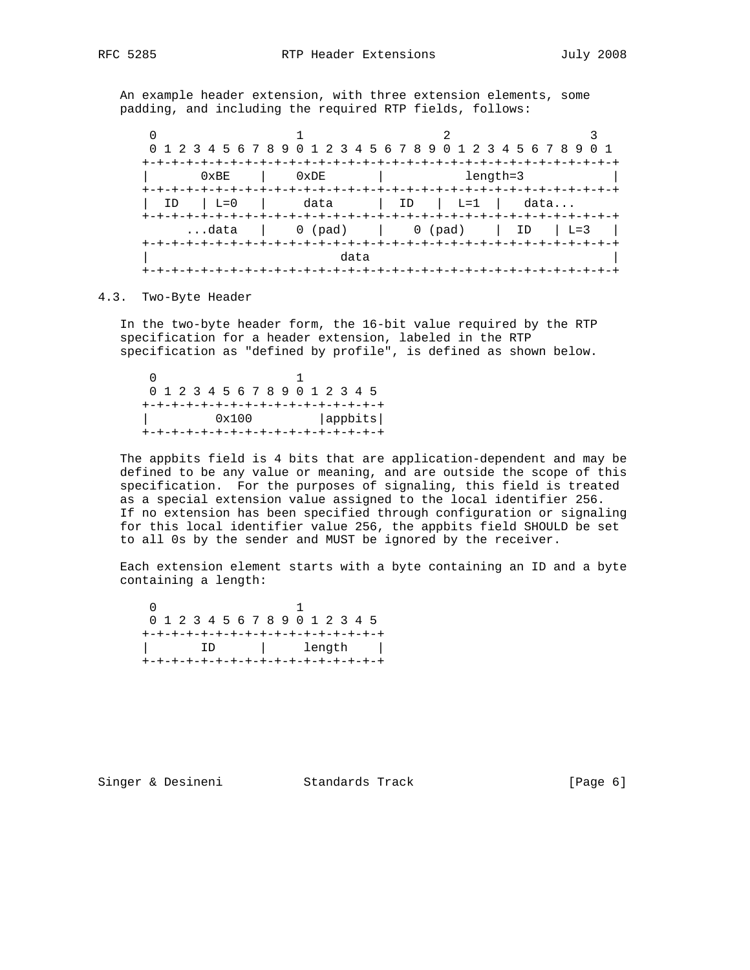An example header extension, with three extension elements, some padding, and including the required RTP fields, follows:

|             | 0 1 2 3 4 5 6 7 8 9 0 1 2 3 4 5 6 7 8 9 0 1 2 3 4 5 6 7 8 9 0 1                 |                          |      |  |  |  |  |  |
|-------------|---------------------------------------------------------------------------------|--------------------------|------|--|--|--|--|--|
| 0xBE        | 0xDE                                                                            | length=3<br>--+-+-+-+-+- |      |  |  |  |  |  |
| $L=0$<br>ID |                                                                                 | data   ID   L=1          | data |  |  |  |  |  |
|             | data $\begin{vmatrix} 0 & (pad) &   & 0 (pad) &   & ID &   & L=3 \end{vmatrix}$ |                          |      |  |  |  |  |  |
| data        |                                                                                 |                          |      |  |  |  |  |  |

### 4.3. Two-Byte Header

 In the two-byte header form, the 16-bit value required by the RTP specification for a header extension, labeled in the RTP specification as "defined by profile", is defined as shown below.

 $\sim$  0  $\sim$  1 0 1 2 3 4 5 6 7 8 9 0 1 2 3 4 5 +-+-+-+-+-+-+-+-+-+-+-+-+-+-+-+-+ | 0x100 |appbits| +-+-+-+-+-+-+-+-+-+-+-+-+-+-+-+-+

 The appbits field is 4 bits that are application-dependent and may be defined to be any value or meaning, and are outside the scope of this specification. For the purposes of signaling, this field is treated as a special extension value assigned to the local identifier 256. If no extension has been specified through configuration or signaling for this local identifier value 256, the appbits field SHOULD be set to all 0s by the sender and MUST be ignored by the receiver.

 Each extension element starts with a byte containing an ID and a byte containing a length:

 $\sim$  0  $\sim$  1 0 1 2 3 4 5 6 7 8 9 0 1 2 3 4 5 +-+-+-+-+-+-+-+-+-+-+-+-+-+-+-+-+ | ID | length | +-+-+-+-+-+-+-+-+-+-+-+-+-+-+-+-+

Singer & Desineni Standards Track [Page 6]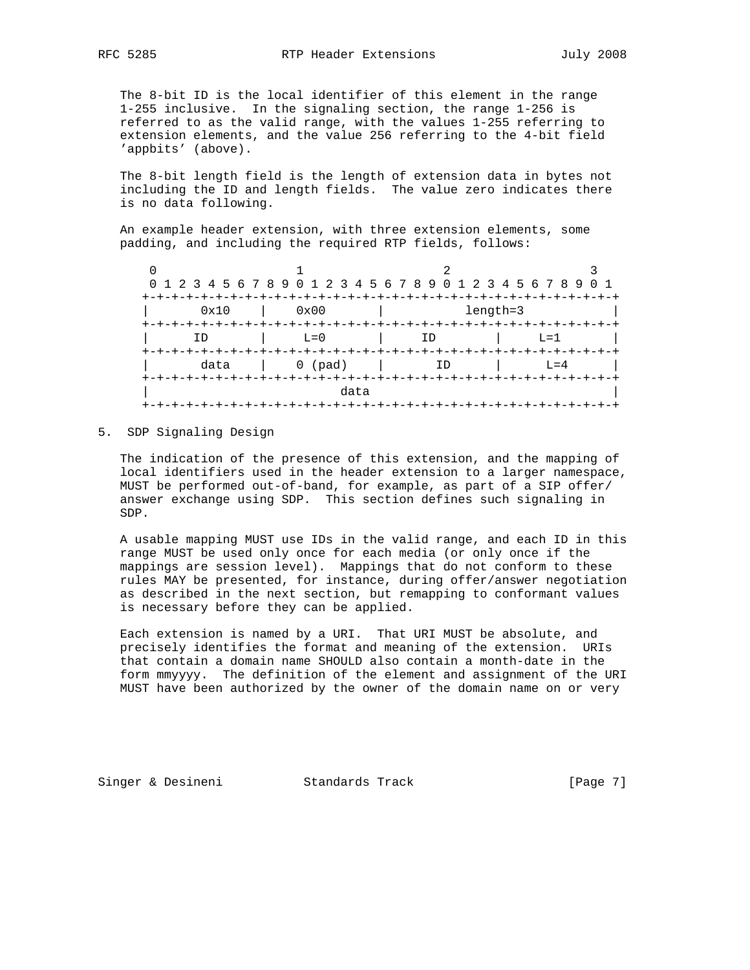The 8-bit ID is the local identifier of this element in the range 1-255 inclusive. In the signaling section, the range 1-256 is referred to as the valid range, with the values 1-255 referring to extension elements, and the value 256 referring to the 4-bit field 'appbits' (above).

 The 8-bit length field is the length of extension data in bytes not including the ID and length fields. The value zero indicates there is no data following.

 An example header extension, with three extension elements, some padding, and including the required RTP fields, follows:

|                  | 0 1 2 3 4 5 6 7 8 9 0 1 2 3 4 5 6 7 8 9 0 1 2 3 4 5 6 7 8 9 0 1<br>+-+-+-+-+-+-+- |                                   |                              |
|------------------|-----------------------------------------------------------------------------------|-----------------------------------|------------------------------|
| 0x10             | 0x00                                                                              | length=3                          |                              |
| +-+-+-+-+-+-+-+- | $L = 0$                                                                           | -+-+-+-+-+-+-+-+-+-+-+-+-+-<br>ID | $L=1$                        |
| data             | $0$ (pad)                                                                         |                                   | $L = 4$<br>+-+-+-+-+-+-+-+-+ |
|                  | data                                                                              |                                   |                              |
| $+ - + - + -$    |                                                                                   |                                   |                              |

5. SDP Signaling Design

 The indication of the presence of this extension, and the mapping of local identifiers used in the header extension to a larger namespace, MUST be performed out-of-band, for example, as part of a SIP offer/ answer exchange using SDP. This section defines such signaling in SDP.

 A usable mapping MUST use IDs in the valid range, and each ID in this range MUST be used only once for each media (or only once if the mappings are session level). Mappings that do not conform to these rules MAY be presented, for instance, during offer/answer negotiation as described in the next section, but remapping to conformant values is necessary before they can be applied.

 Each extension is named by a URI. That URI MUST be absolute, and precisely identifies the format and meaning of the extension. URIs that contain a domain name SHOULD also contain a month-date in the form mmyyyy. The definition of the element and assignment of the URI MUST have been authorized by the owner of the domain name on or very

Singer & Desineni Standards Track (Page 7)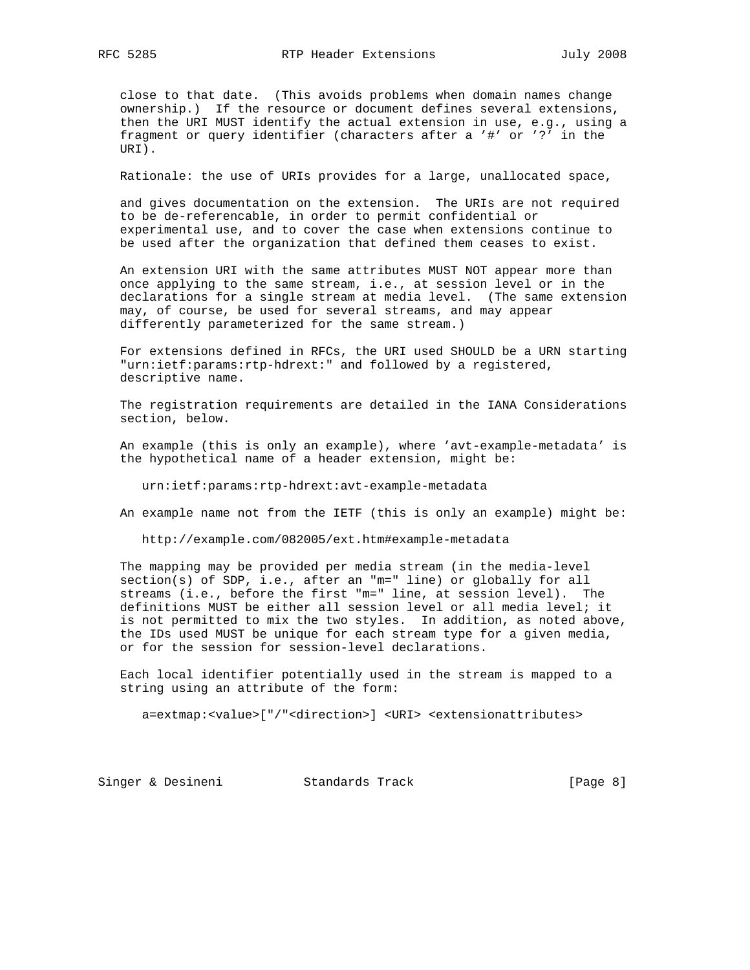close to that date. (This avoids problems when domain names change ownership.) If the resource or document defines several extensions, then the URI MUST identify the actual extension in use, e.g., using a fragment or query identifier (characters after a '#' or '?' in the URI).

Rationale: the use of URIs provides for a large, unallocated space,

 and gives documentation on the extension. The URIs are not required to be de-referencable, in order to permit confidential or experimental use, and to cover the case when extensions continue to be used after the organization that defined them ceases to exist.

 An extension URI with the same attributes MUST NOT appear more than once applying to the same stream, i.e., at session level or in the declarations for a single stream at media level. (The same extension may, of course, be used for several streams, and may appear differently parameterized for the same stream.)

 For extensions defined in RFCs, the URI used SHOULD be a URN starting "urn:ietf:params:rtp-hdrext:" and followed by a registered, descriptive name.

 The registration requirements are detailed in the IANA Considerations section, below.

 An example (this is only an example), where 'avt-example-metadata' is the hypothetical name of a header extension, might be:

urn:ietf:params:rtp-hdrext:avt-example-metadata

An example name not from the IETF (this is only an example) might be:

http://example.com/082005/ext.htm#example-metadata

 The mapping may be provided per media stream (in the media-level section(s) of SDP, i.e., after an "m=" line) or globally for all streams (i.e., before the first "m=" line, at session level). The definitions MUST be either all session level or all media level; it is not permitted to mix the two styles. In addition, as noted above, the IDs used MUST be unique for each stream type for a given media, or for the session for session-level declarations.

 Each local identifier potentially used in the stream is mapped to a string using an attribute of the form:

a=extmap:<value>["/"<direction>] <URI> <extensionattributes>

Singer & Desineni Standards Track [Page 8]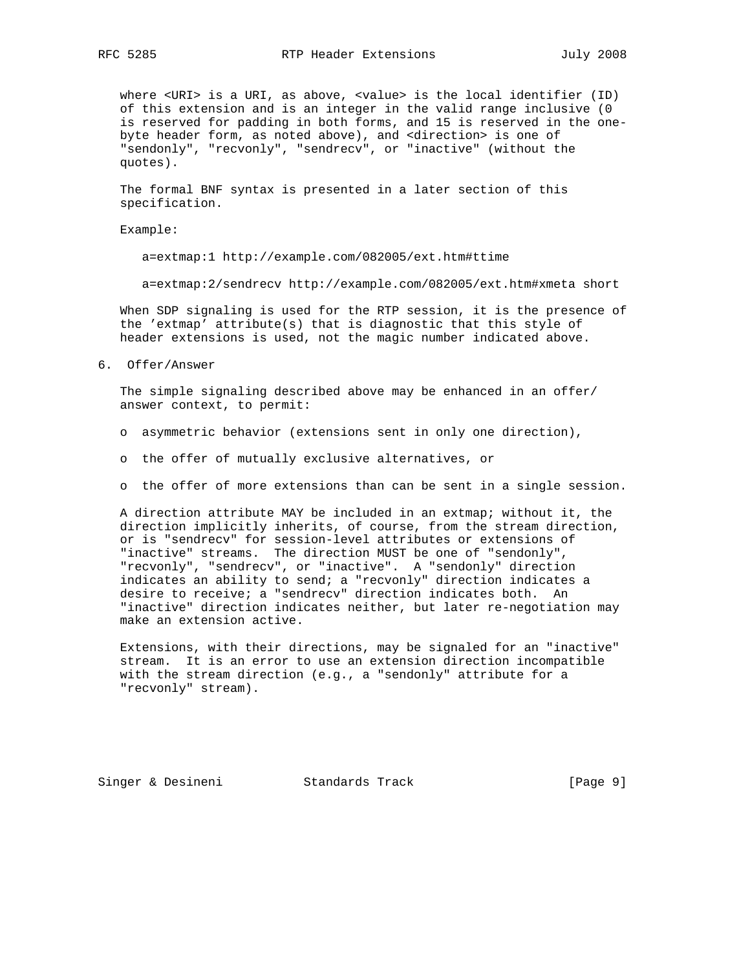where <URI> is a URI, as above, <value> is the local identifier (ID) of this extension and is an integer in the valid range inclusive (0 is reserved for padding in both forms, and 15 is reserved in the one byte header form, as noted above), and <direction> is one of "sendonly", "recvonly", "sendrecv", or "inactive" (without the quotes).

 The formal BNF syntax is presented in a later section of this specification.

Example:

a=extmap:1 http://example.com/082005/ext.htm#ttime

a=extmap:2/sendrecv http://example.com/082005/ext.htm#xmeta short

 When SDP signaling is used for the RTP session, it is the presence of the 'extmap' attribute(s) that is diagnostic that this style of header extensions is used, not the magic number indicated above.

6. Offer/Answer

 The simple signaling described above may be enhanced in an offer/ answer context, to permit:

- o asymmetric behavior (extensions sent in only one direction),
- o the offer of mutually exclusive alternatives, or
- o the offer of more extensions than can be sent in a single session.

 A direction attribute MAY be included in an extmap; without it, the direction implicitly inherits, of course, from the stream direction, or is "sendrecv" for session-level attributes or extensions of "inactive" streams. The direction MUST be one of "sendonly", "recvonly", "sendrecv", or "inactive". A "sendonly" direction indicates an ability to send; a "recvonly" direction indicates a desire to receive; a "sendrecv" direction indicates both. An "inactive" direction indicates neither, but later re-negotiation may make an extension active.

 Extensions, with their directions, may be signaled for an "inactive" stream. It is an error to use an extension direction incompatible with the stream direction (e.g., a "sendonly" attribute for a "recvonly" stream).

Singer & Desineni Standards Track [Page 9]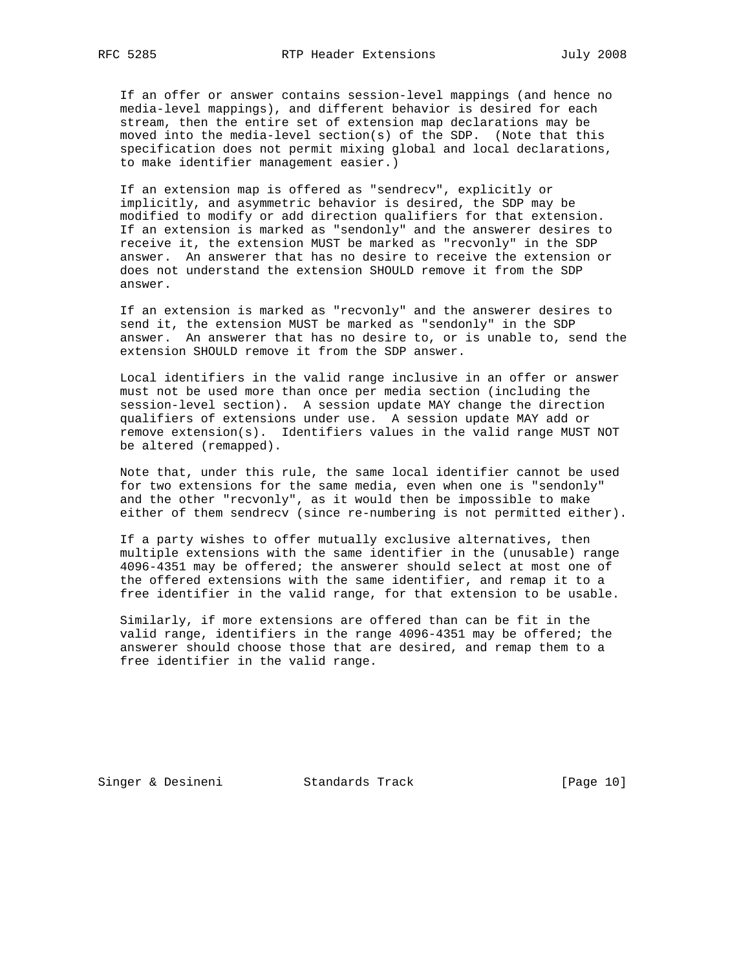If an offer or answer contains session-level mappings (and hence no media-level mappings), and different behavior is desired for each stream, then the entire set of extension map declarations may be moved into the media-level section(s) of the SDP. (Note that this specification does not permit mixing global and local declarations, to make identifier management easier.)

 If an extension map is offered as "sendrecv", explicitly or implicitly, and asymmetric behavior is desired, the SDP may be modified to modify or add direction qualifiers for that extension. If an extension is marked as "sendonly" and the answerer desires to receive it, the extension MUST be marked as "recvonly" in the SDP answer. An answerer that has no desire to receive the extension or does not understand the extension SHOULD remove it from the SDP answer.

 If an extension is marked as "recvonly" and the answerer desires to send it, the extension MUST be marked as "sendonly" in the SDP answer. An answerer that has no desire to, or is unable to, send the extension SHOULD remove it from the SDP answer.

 Local identifiers in the valid range inclusive in an offer or answer must not be used more than once per media section (including the session-level section). A session update MAY change the direction qualifiers of extensions under use. A session update MAY add or remove extension(s). Identifiers values in the valid range MUST NOT be altered (remapped).

 Note that, under this rule, the same local identifier cannot be used for two extensions for the same media, even when one is "sendonly" and the other "recvonly", as it would then be impossible to make either of them sendrecv (since re-numbering is not permitted either).

 If a party wishes to offer mutually exclusive alternatives, then multiple extensions with the same identifier in the (unusable) range 4096-4351 may be offered; the answerer should select at most one of the offered extensions with the same identifier, and remap it to a free identifier in the valid range, for that extension to be usable.

 Similarly, if more extensions are offered than can be fit in the valid range, identifiers in the range 4096-4351 may be offered; the answerer should choose those that are desired, and remap them to a free identifier in the valid range.

Singer & Desineni Standards Track [Page 10]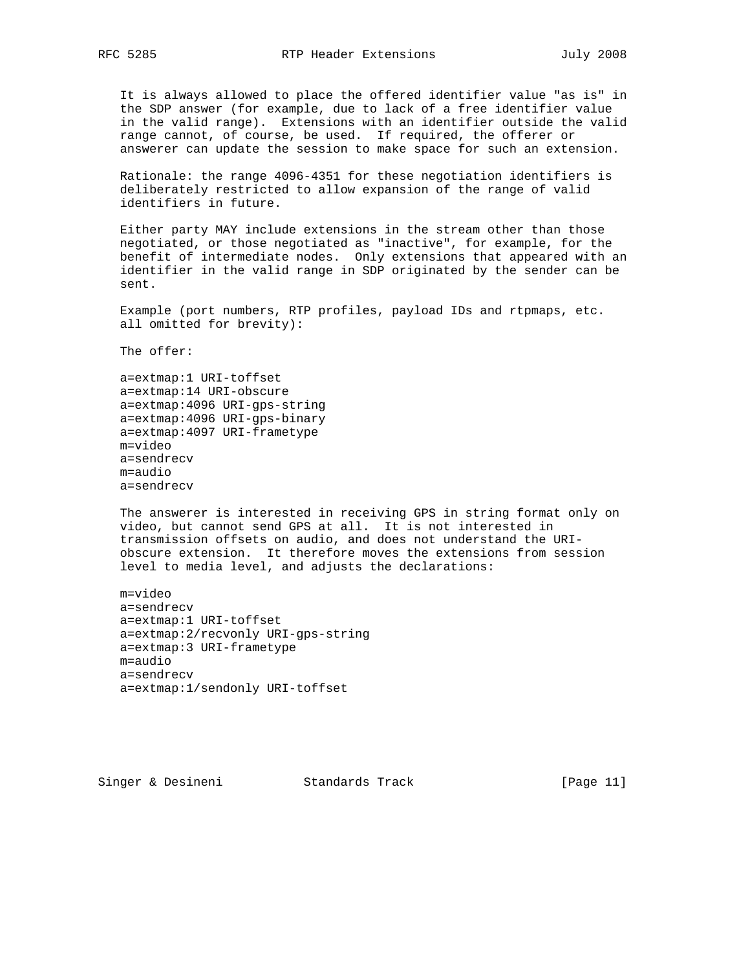It is always allowed to place the offered identifier value "as is" in the SDP answer (for example, due to lack of a free identifier value in the valid range). Extensions with an identifier outside the valid range cannot, of course, be used. If required, the offerer or answerer can update the session to make space for such an extension.

 Rationale: the range 4096-4351 for these negotiation identifiers is deliberately restricted to allow expansion of the range of valid identifiers in future.

 Either party MAY include extensions in the stream other than those negotiated, or those negotiated as "inactive", for example, for the benefit of intermediate nodes. Only extensions that appeared with an identifier in the valid range in SDP originated by the sender can be sent.

 Example (port numbers, RTP profiles, payload IDs and rtpmaps, etc. all omitted for brevity):

The offer:

 a=extmap:1 URI-toffset a=extmap:14 URI-obscure a=extmap:4096 URI-gps-string a=extmap:4096 URI-gps-binary a=extmap:4097 URI-frametype m=video a=sendrecv m=audio a=sendrecv

 The answerer is interested in receiving GPS in string format only on video, but cannot send GPS at all. It is not interested in transmission offsets on audio, and does not understand the URI obscure extension. It therefore moves the extensions from session level to media level, and adjusts the declarations:

```
 m=video
 a=sendrecv
 a=extmap:1 URI-toffset
 a=extmap:2/recvonly URI-gps-string
 a=extmap:3 URI-frametype
 m=audio
 a=sendrecv
 a=extmap:1/sendonly URI-toffset
```
Singer & Desineni Standards Track [Page 11]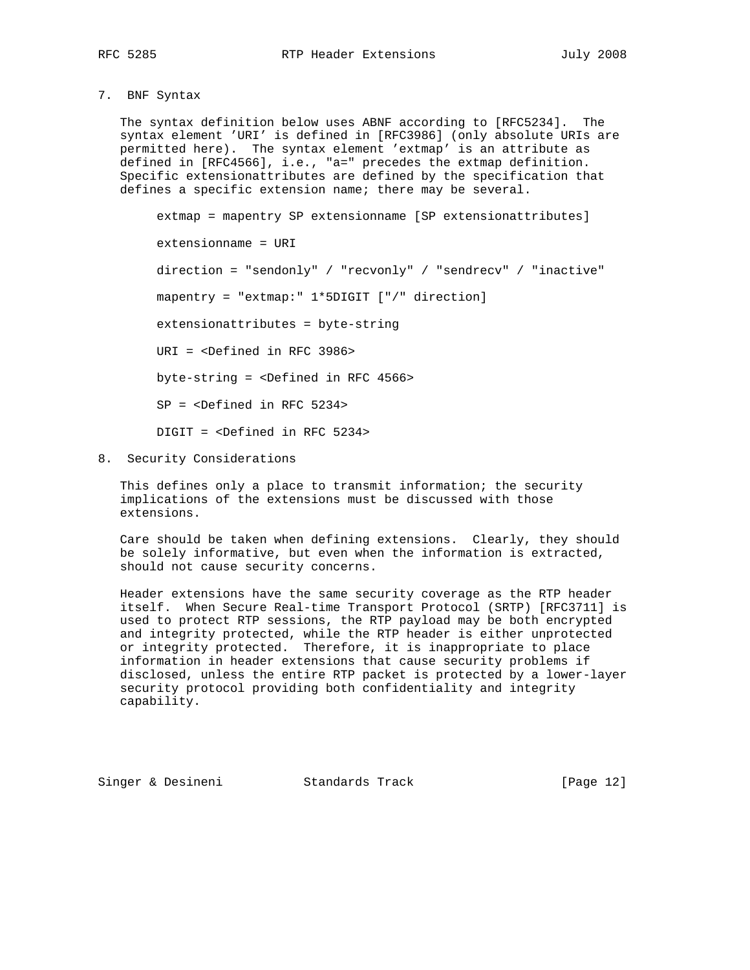7. BNF Syntax

 The syntax definition below uses ABNF according to [RFC5234]. The syntax element 'URI' is defined in [RFC3986] (only absolute URIs are permitted here). The syntax element 'extmap' is an attribute as defined in [RFC4566], i.e., "a=" precedes the extmap definition. Specific extensionattributes are defined by the specification that defines a specific extension name; there may be several.

 extmap = mapentry SP extensionname [SP extensionattributes] extensionname = URI direction = "sendonly" / "recvonly" / "sendrecv" / "inactive" mapentry = "extmap:" 1\*5DIGIT ["/" direction] extensionattributes = byte-string URI = <Defined in RFC 3986> byte-string = <Defined in RFC 4566> SP = <Defined in RFC 5234> DIGIT = <Defined in RFC 5234>

8. Security Considerations

 This defines only a place to transmit information; the security implications of the extensions must be discussed with those extensions.

 Care should be taken when defining extensions. Clearly, they should be solely informative, but even when the information is extracted, should not cause security concerns.

 Header extensions have the same security coverage as the RTP header itself. When Secure Real-time Transport Protocol (SRTP) [RFC3711] is used to protect RTP sessions, the RTP payload may be both encrypted and integrity protected, while the RTP header is either unprotected or integrity protected. Therefore, it is inappropriate to place information in header extensions that cause security problems if disclosed, unless the entire RTP packet is protected by a lower-layer security protocol providing both confidentiality and integrity capability.

Singer & Desineni Standards Track [Page 12]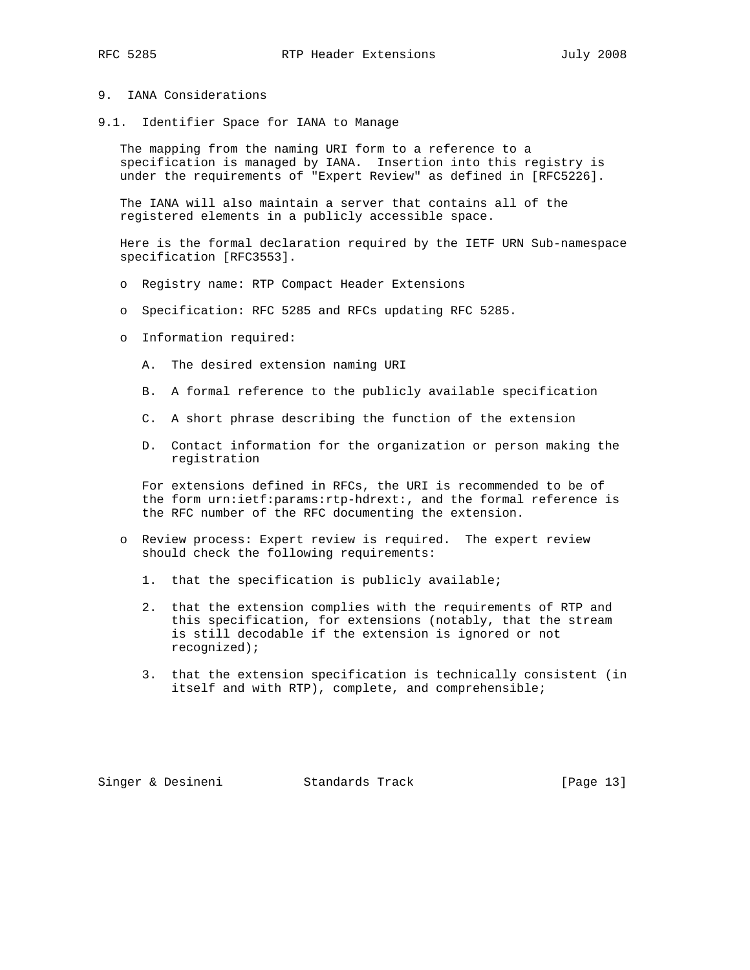## 9. IANA Considerations

9.1. Identifier Space for IANA to Manage

 The mapping from the naming URI form to a reference to a specification is managed by IANA. Insertion into this registry is under the requirements of "Expert Review" as defined in [RFC5226].

 The IANA will also maintain a server that contains all of the registered elements in a publicly accessible space.

 Here is the formal declaration required by the IETF URN Sub-namespace specification [RFC3553].

- o Registry name: RTP Compact Header Extensions
- o Specification: RFC 5285 and RFCs updating RFC 5285.
- o Information required:
	- A. The desired extension naming URI
	- B. A formal reference to the publicly available specification
	- C. A short phrase describing the function of the extension
	- D. Contact information for the organization or person making the registration

 For extensions defined in RFCs, the URI is recommended to be of the form urn:ietf:params:rtp-hdrext:, and the formal reference is the RFC number of the RFC documenting the extension.

- o Review process: Expert review is required. The expert review should check the following requirements:
	- 1. that the specification is publicly available;
	- 2. that the extension complies with the requirements of RTP and this specification, for extensions (notably, that the stream is still decodable if the extension is ignored or not recognized);
	- 3. that the extension specification is technically consistent (in itself and with RTP), complete, and comprehensible;

Singer & Desineni Standards Track [Page 13]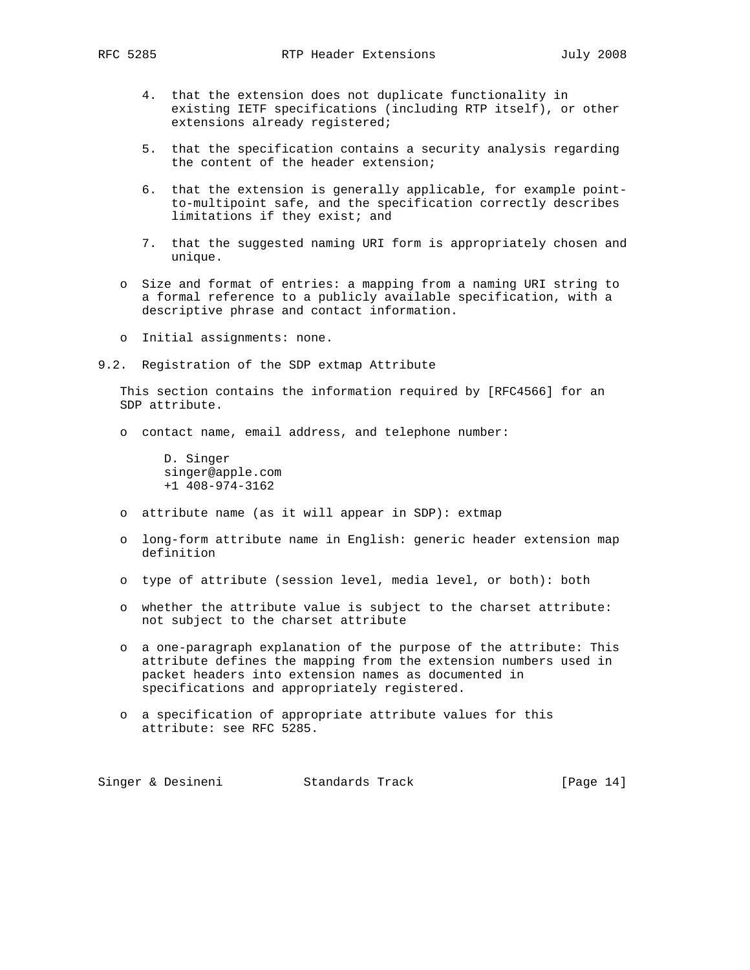- 4. that the extension does not duplicate functionality in existing IETF specifications (including RTP itself), or other extensions already registered;
- 5. that the specification contains a security analysis regarding the content of the header extension;
- 6. that the extension is generally applicable, for example point to-multipoint safe, and the specification correctly describes limitations if they exist; and
- 7. that the suggested naming URI form is appropriately chosen and unique.
- o Size and format of entries: a mapping from a naming URI string to a formal reference to a publicly available specification, with a descriptive phrase and contact information.
- o Initial assignments: none.
- 9.2. Registration of the SDP extmap Attribute

 This section contains the information required by [RFC4566] for an SDP attribute.

o contact name, email address, and telephone number:

 D. Singer singer@apple.com +1 408-974-3162

- o attribute name (as it will appear in SDP): extmap
- o long-form attribute name in English: generic header extension map definition
- o type of attribute (session level, media level, or both): both
- o whether the attribute value is subject to the charset attribute: not subject to the charset attribute
- o a one-paragraph explanation of the purpose of the attribute: This attribute defines the mapping from the extension numbers used in packet headers into extension names as documented in specifications and appropriately registered.
- o a specification of appropriate attribute values for this attribute: see RFC 5285.

Singer & Desineni Standards Track [Page 14]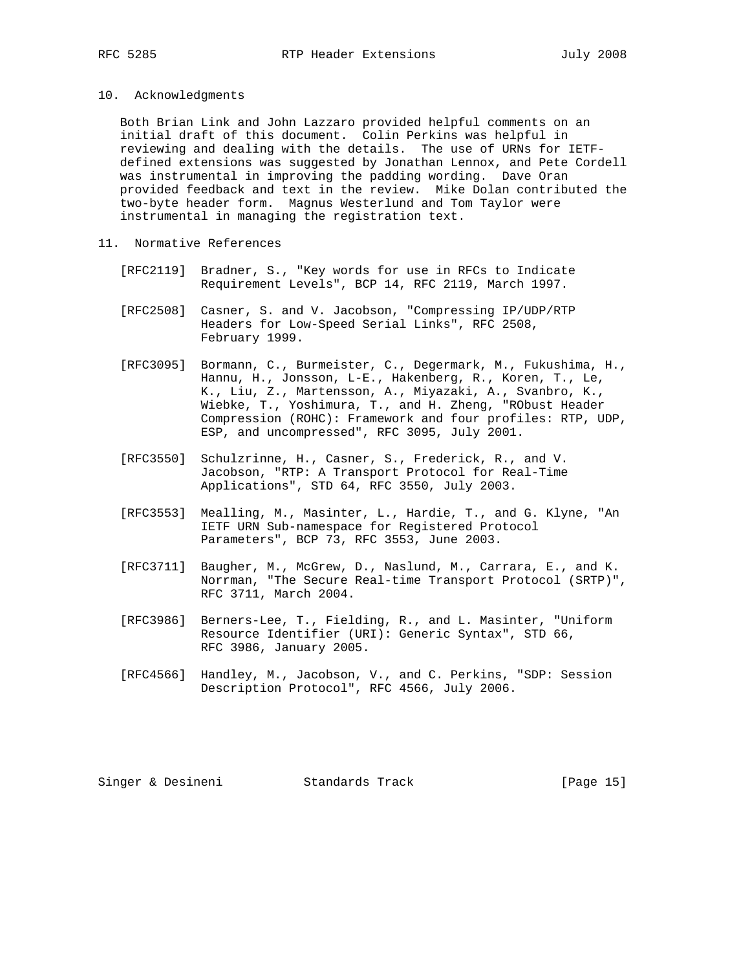10. Acknowledgments

 Both Brian Link and John Lazzaro provided helpful comments on an initial draft of this document. Colin Perkins was helpful in reviewing and dealing with the details. The use of URNs for IETF defined extensions was suggested by Jonathan Lennox, and Pete Cordell was instrumental in improving the padding wording. Dave Oran provided feedback and text in the review. Mike Dolan contributed the two-byte header form. Magnus Westerlund and Tom Taylor were instrumental in managing the registration text.

- 11. Normative References
	- [RFC2119] Bradner, S., "Key words for use in RFCs to Indicate Requirement Levels", BCP 14, RFC 2119, March 1997.
	- [RFC2508] Casner, S. and V. Jacobson, "Compressing IP/UDP/RTP Headers for Low-Speed Serial Links", RFC 2508, February 1999.
	- [RFC3095] Bormann, C., Burmeister, C., Degermark, M., Fukushima, H., Hannu, H., Jonsson, L-E., Hakenberg, R., Koren, T., Le, K., Liu, Z., Martensson, A., Miyazaki, A., Svanbro, K., Wiebke, T., Yoshimura, T., and H. Zheng, "RObust Header Compression (ROHC): Framework and four profiles: RTP, UDP, ESP, and uncompressed", RFC 3095, July 2001.
	- [RFC3550] Schulzrinne, H., Casner, S., Frederick, R., and V. Jacobson, "RTP: A Transport Protocol for Real-Time Applications", STD 64, RFC 3550, July 2003.
	- [RFC3553] Mealling, M., Masinter, L., Hardie, T., and G. Klyne, "An IETF URN Sub-namespace for Registered Protocol Parameters", BCP 73, RFC 3553, June 2003.
	- [RFC3711] Baugher, M., McGrew, D., Naslund, M., Carrara, E., and K. Norrman, "The Secure Real-time Transport Protocol (SRTP)", RFC 3711, March 2004.
	- [RFC3986] Berners-Lee, T., Fielding, R., and L. Masinter, "Uniform Resource Identifier (URI): Generic Syntax", STD 66, RFC 3986, January 2005.
	- [RFC4566] Handley, M., Jacobson, V., and C. Perkins, "SDP: Session Description Protocol", RFC 4566, July 2006.

Singer & Desineni Standards Track [Page 15]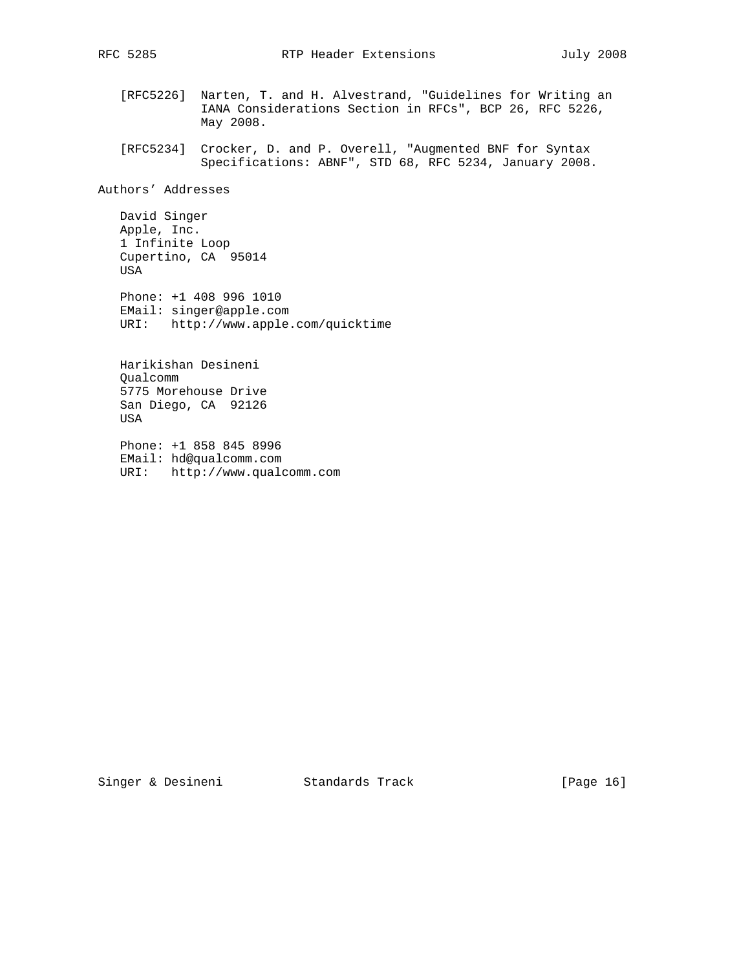- [RFC5226] Narten, T. and H. Alvestrand, "Guidelines for Writing an IANA Considerations Section in RFCs", BCP 26, RFC 5226, May 2008.
- [RFC5234] Crocker, D. and P. Overell, "Augmented BNF for Syntax Specifications: ABNF", STD 68, RFC 5234, January 2008.

Authors' Addresses

 David Singer Apple, Inc. 1 Infinite Loop Cupertino, CA 95014 USA

 Phone: +1 408 996 1010 EMail: singer@apple.com URI: http://www.apple.com/quicktime

 Harikishan Desineni Qualcomm 5775 Morehouse Drive San Diego, CA 92126 USA

 Phone: +1 858 845 8996 EMail: hd@qualcomm.com URI: http://www.qualcomm.com

Singer & Desineni Standards Track [Page 16]